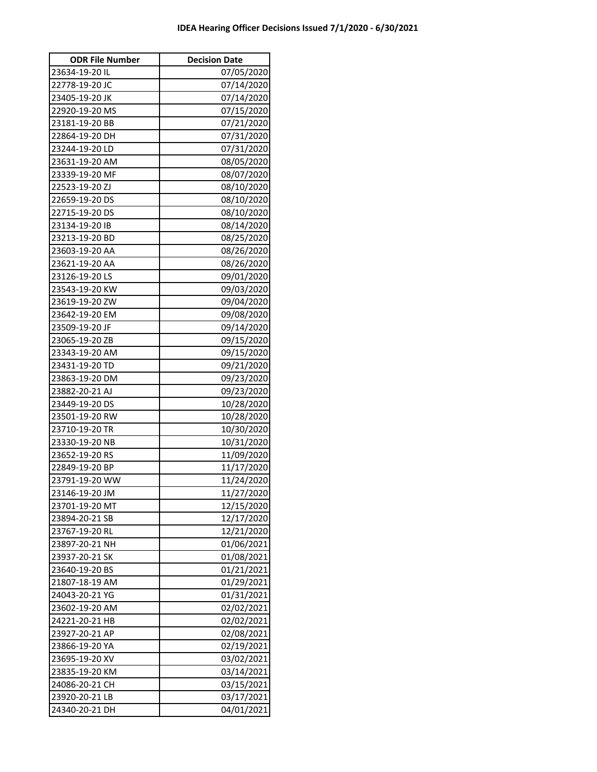| <b>ODR File Number</b> | <b>Decision Date</b> |
|------------------------|----------------------|
| 23634-19-20 IL         | 07/05/2020           |
| 22778-19-20 JC         | 07/14/2020           |
| 23405-19-20 JK         | 07/14/2020           |
| 22920-19-20 MS         | 07/15/2020           |
| 23181-19-20 BB         | 07/21/2020           |
| 22864-19-20 DH         | 07/31/2020           |
| 23244-19-20 LD         | 07/31/2020           |
| 23631-19-20 AM         | 08/05/2020           |
| 23339-19-20 MF         | 08/07/2020           |
| 22523-19-20 ZJ         | 08/10/2020           |
| 22659-19-20 DS         | 08/10/2020           |
| 22715-19-20 DS         | 08/10/2020           |
| 23134-19-20 IB         | 08/14/2020           |
| 23213-19-20 BD         | 08/25/2020           |
| 23603-19-20 AA         | 08/26/2020           |
| 23621-19-20 AA         | 08/26/2020           |
| 23126-19-20 LS         | 09/01/2020           |
| 23543-19-20 KW         | 09/03/2020           |
| 23619-19-20 ZW         | 09/04/2020           |
| 23642-19-20 EM         | 09/08/2020           |
| 23509-19-20 JF         | 09/14/2020           |
| 23065-19-20 ZB         | 09/15/2020           |
| 23343-19-20 AM         | 09/15/2020           |
| 23431-19-20 TD         | 09/21/2020           |
| 23863-19-20 DM         | 09/23/2020           |
| 23882-20-21 AJ         | 09/23/2020           |
| 23449-19-20 DS         | 10/28/2020           |
| 23501-19-20 RW         | 10/28/2020           |
| 23710-19-20 TR         | 10/30/2020           |
| 23330-19-20 NB         | 10/31/2020           |
| 23652-19-20 RS         | 11/09/2020           |
| 22849-19-20 BP         | 11/17/2020           |
| 23791-19-20 WW         | 11/24/2020           |
| 23146-19-20 JM         | 11/27/2020           |
| 23701-19-20 MT         | 12/15/2020           |
| 23894-20-21 SB         | 12/17/2020           |
| 23767-19-20 RL         | 12/21/2020           |
| 23897-20-21 NH         | 01/06/2021           |
| 23937-20-21 SK         | 01/08/2021           |
| 23640-19-20 BS         | 01/21/2021           |
| 21807-18-19 AM         | 01/29/2021           |
| 24043-20-21 YG         | 01/31/2021           |
| 23602-19-20 AM         | 02/02/2021           |
| 24221-20-21 HB         | 02/02/2021           |
| 23927-20-21 AP         | 02/08/2021           |
| 23866-19-20 YA         | 02/19/2021           |
| 23695-19-20 XV         | 03/02/2021           |
| 23835-19-20 KM         | 03/14/2021           |
| 24086-20-21 CH         | 03/15/2021           |
| 23920-20-21 LB         | 03/17/2021           |
| 24340-20-21 DH         | 04/01/2021           |